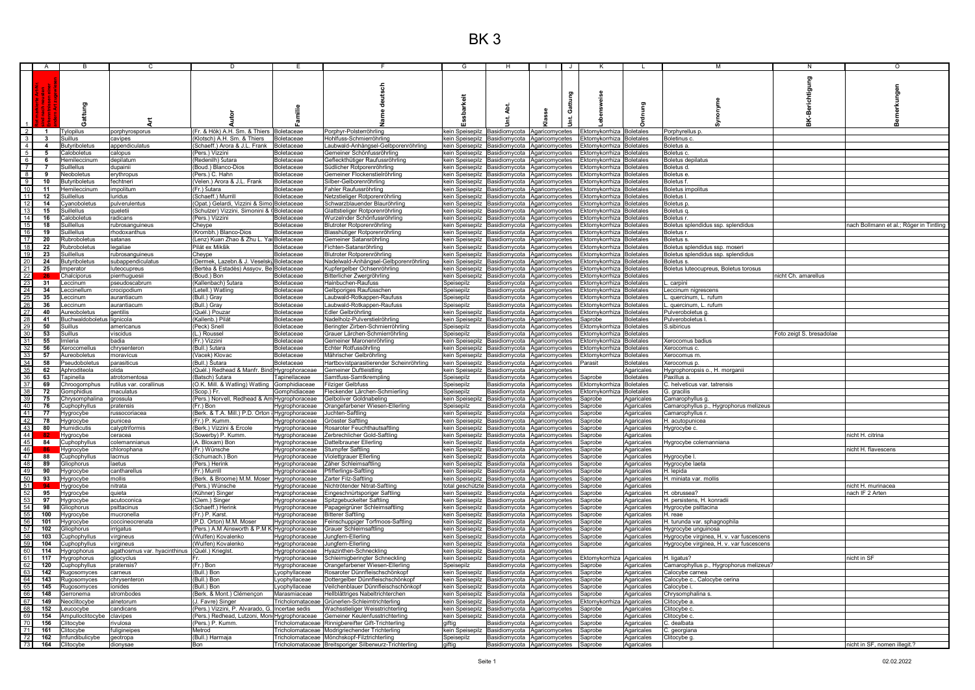|                                                      |                          |                              |                              |                                                 |                |                                                                                                        | G                    |                                                              |                |       |                            |                          | M                                        | N                        | O                                       |
|------------------------------------------------------|--------------------------|------------------------------|------------------------------|-------------------------------------------------|----------------|--------------------------------------------------------------------------------------------------------|----------------------|--------------------------------------------------------------|----------------|-------|----------------------------|--------------------------|------------------------------------------|--------------------------|-----------------------------------------|
|                                                      |                          |                              |                              |                                                 |                |                                                                                                        |                      |                                                              |                |       |                            |                          |                                          |                          |                                         |
|                                                      |                          |                              |                              |                                                 |                |                                                                                                        |                      |                                                              |                |       |                            |                          |                                          | Berichtigung             |                                         |
|                                                      |                          |                              |                              |                                                 |                |                                                                                                        |                      |                                                              |                |       |                            |                          |                                          |                          |                                         |
|                                                      |                          |                              |                              |                                                 |                |                                                                                                        |                      |                                                              |                |       |                            |                          |                                          |                          |                                         |
|                                                      |                          |                              |                              |                                                 |                |                                                                                                        | barkeit              |                                                              |                |       |                            |                          |                                          |                          |                                         |
|                                                      |                          |                              |                              |                                                 |                |                                                                                                        |                      |                                                              |                | Gattu |                            |                          |                                          |                          |                                         |
|                                                      |                          |                              |                              |                                                 |                |                                                                                                        |                      | 4bt.                                                         |                |       |                            |                          |                                          |                          |                                         |
|                                                      |                          |                              |                              |                                                 |                |                                                                                                        |                      |                                                              |                |       |                            |                          |                                          |                          |                                         |
|                                                      |                          | Gunag                        |                              |                                                 |                |                                                                                                        |                      |                                                              |                |       |                            |                          |                                          | ¥                        |                                         |
|                                                      |                          |                              |                              |                                                 |                |                                                                                                        |                      |                                                              |                |       |                            |                          |                                          |                          |                                         |
| $\overline{2}$                                       | $\overline{\phantom{a}}$ | <b>Tylopilus</b>             | porphyrosporus               | Fr. & Hök) A.H. Sm. & Thiers Boletaceae         |                | Porphyr-Polsterröhrling                                                                                | kein Speisepilz      | Basidiomvcota                                                | Agaricomycetes |       | Ektomvkorrhiza Boletales   |                          | Porphyrellus p.                          |                          |                                         |
| $\frac{3}{4}$                                        | $\mathbf{3}$             | Suillus                      | cavipes                      | (Klotsch) A.H. Sm. & Thiers   Boletaceae        |                | Hohlfuss-Schmierröhrling                                                                               |                      | kein Speisepilz Basidiomycota Agaricomycetes                 |                |       | Ektomykorrhiza Boletales   |                          | Boletinus c                              |                          |                                         |
|                                                      | $\overline{4}$           | Butyriboletus                | appendiculatus               | Schaeff.) Arora & J.L. Frank Boletaceae         |                | aubwald-Anhängsel-Gelbporenröhrling                                                                    |                      | kein Speisepilz Basidiomycota Agaricomycetes                 |                |       | Ektomykorrhiza Boletales   |                          | Boletus a.                               |                          |                                         |
|                                                      |                          |                              |                              |                                                 |                |                                                                                                        |                      |                                                              |                |       |                            |                          |                                          |                          |                                         |
| $\begin{array}{c} 5 \\ 6 \\ 7 \end{array}$           | 5                        | Caloboletus                  | calopus                      | Pers.) Vizzini                                  | Boletaceae     | Gemeiner Schönfussröhrling                                                                             |                      | kein Speisepilz Basidiomycota Agaricomycetes                 |                |       | Ektomykorrhiza Boletales   |                          | Boletus c.                               |                          |                                         |
|                                                      | - 6                      | Hemileccinum                 | depilatum                    | (Redenilh) Šutara                               | Boletaceae     | Gefleckthütiger Raufussröhrling                                                                        |                      | kein Speisepilz Basidiomycota Agaricomycetes                 |                |       | Ektomykorrhiza Boletales   |                          | Boletus depilatus                        |                          |                                         |
|                                                      | $\overline{7}$           | Suillellus                   | dupainii                     | Boud.) Blanco-Dios                              | Boletaceae     | Südlicher Rotporenröhrling                                                                             | kein Speisepilz      | Basidiomycota Agaricomycetes                                 |                |       | Ektomykorrhiza Boletales   |                          | Boletus d.                               |                          |                                         |
| 8                                                    | 9                        | Neoboletus                   | ervthropus                   | Pers.) C. Hahn                                  | Boletaceae     | Gemeiner Flockenstielröhrling                                                                          |                      | kein Speisepilz Basidiomycota Agaricomycetes                 |                |       | Ektomykorrhiza Boletales   |                          | Boletus e                                |                          |                                         |
|                                                      |                          |                              |                              |                                                 |                |                                                                                                        |                      |                                                              |                |       |                            |                          |                                          |                          |                                         |
| $\frac{9}{10}$                                       | 10                       | Butyriboletus                | fechtneri                    | Velen.) Arora & J.L. Frank                      | Boletaceae     | Silber-Gelborenröhrling                                                                                |                      | kein Speisepilz Basidiomycota Agaricomycetes                 |                |       | Ektomykorrhiza   Boletales |                          | Boletus f.                               |                          |                                         |
|                                                      | 11                       | Hemileccinum                 | mpolitum                     | (Fr.) Šutara                                    | Boletaceae     | ahler Raufussröhrling                                                                                  |                      | kein Speisepilz Basidiomycota Agaricomycetes                 |                |       | Ektomykorrhiza Boletales   |                          | <b>Boletus impolitus</b>                 |                          |                                         |
| 11                                                   | 12                       | Suillellus                   | luridus                      | Schaeff.) Murrill                               | Boletaceae     | Vetzstieliger Rotporenröhrling                                                                         |                      | kein Speisepilz Basidiomycota Agaricomycetes                 |                |       | Ektomykorrhiza Boletales   |                          | Boletus                                  |                          |                                         |
| 12                                                   | 14                       | Cyanoboletus                 | pulverulentus                | Opat.) Gelardi, Vizzini & Simo Boletaceae       |                | Schwarzblauender Blauröhrling                                                                          |                      | kein Speisepilz Basidiomycota Agaricomycetes                 |                |       | Ektomykorrhiza Boletales   |                          | Boletus p                                |                          |                                         |
|                                                      | 15                       | Suillellus                   | <b>Tueletii</b>              |                                                 |                |                                                                                                        |                      |                                                              |                |       | Ektomvkorrhiza Boletales   |                          | Boletus a                                |                          |                                         |
|                                                      |                          |                              |                              | Schulzer) Vizzini, Simonini & (Boletaceae       |                | Slattstieliger Rotporenröhrling                                                                        |                      | kein Speisepilz Basidiomycota Agaricomycetes                 |                |       |                            |                          |                                          |                          |                                         |
| 14                                                   | 16                       | Caloboletus                  | radicans                     | Pers.) Vizzini                                  | Boletaceae     | Wurzelnder Schönfussröhrling                                                                           |                      | kein Speisepilz Basidiomycota Agaricomycetes                 |                |       | Ektomykorrhiza Boletales   |                          | <b>Boletus</b> r                         |                          |                                         |
| $\frac{15}{16}$                                      | 18                       | Suillellus                   | rubrosanguineus              | Cheype                                          | Boletaceae     | Blutroter Rotporenröhrling                                                                             |                      | kein Speisepilz Basidiomycota Agaricomycetes                 |                |       | Ektomykorrhiza Boletales   |                          | Boletus splendidus ssp. splendidus       |                          | nach Bollmann et al.; Röger in Tintling |
|                                                      | 19                       | <b>Suillellus</b>            | rhodoxanthus                 | (Krombh.) Blanco-Dios                           | Boletaceae     | <b>Blasshütiger Rotporenröhrling</b>                                                                   |                      | kein Speisepilz Basidiomycota Agaricomycetes                 |                |       | Ektomykorrhiza Boletales   |                          | <b>Boletus</b> r                         |                          |                                         |
| 17                                                   | 20                       | Rubroboletus                 | satanas                      | Lenz) Kuan Zhao & Zhu L. Yar Boletaceae         |                | Gemeiner Satansröhrling                                                                                |                      | kein Speisepilz Basidiomycota Agaricomycetes                 |                |       | Ektomykorrhiza Boletales   |                          | Boletus s.                               |                          |                                         |
|                                                      |                          |                              |                              |                                                 |                |                                                                                                        |                      |                                                              |                |       |                            |                          |                                          |                          |                                         |
| $\frac{18}{19}$                                      | 22                       | Rubroboletus                 | legaliae                     | Pilát ex Mikšik                                 | Boletaceae     | Fichten-Satansröhrling                                                                                 |                      | kein Speisepilz Basidiomycota Agaricomycetes                 |                |       | Ektomykorrhiza Boletales   |                          | Boletus splendidus ssp. moseri.          |                          |                                         |
|                                                      | 23                       | Suillellus                   | rubrosanguineus              | Cheype                                          | Boletaceae     | <b>Blutroter Rotporenröhrling</b>                                                                      |                      | kein Speisepilz Basidiomycota Agaricomycetes                 |                |       | Ektomykorrhiza Boletales   |                          | Boletus splendidus ssp. splendidus       |                          |                                         |
|                                                      | 24                       | <b>Butyriboletus</b>         | subappendiculatus            | Dermek, Lazebn.& J. Veselský Boletaceae         |                | Vadelwald-Anhängsel-Gelbporenröhrling                                                                  | kein Speisepilz      | Basidiomycota Agaricomycetes                                 |                |       | Ektomykorrhiza Boletales   |                          | Boletus s.                               |                          |                                         |
| $\frac{20}{21}$                                      | 25                       | Imperator                    | luteocupreus                 | Bertèa & Estadès) Assyov, Be Boletaceae         |                | Kupfergelber Ochsenröhrling                                                                            |                      | kein Speisepilz Basidiomycota Agaricomycetes                 |                |       | Ektomykorrhiza Boletales   |                          | Boletus luteocupreus, Boletus torosus    |                          |                                         |
|                                                      |                          |                              |                              | Boud.) Bon                                      | Boletaceae     |                                                                                                        |                      |                                                              |                |       | Ektomykorrhiza Boletales   |                          |                                          | nicht Ch. amarellus      |                                         |
| 22                                                   |                          | Chalciporus                  | bierrhuguesii                |                                                 |                | 3itterlicher Zwergröhrling                                                                             | kein Speisepilz      | Basidiomycota Agaricomycetes                                 |                |       |                            |                          |                                          |                          |                                         |
| $\frac{23}{24}$                                      | 31                       | Leccinum                     | oseudoscabrum                | (Kallenbach) Šutara                             | Boletaceae     | Hainbuchen-Raufuss                                                                                     | Speisepilz           | Basidiomycota Agaricomycetes                                 |                |       | Ektomykorrhiza Boletales   |                          | carpini                                  |                          |                                         |
|                                                      | 34                       | Leccinellum                  | crocipodium                  | (Letell.) Watling                               | Boletaceae     | Gelbporiges Raufüsschen                                                                                | Speisepilz           | Basidiomycota Agaricomycetes                                 |                |       | Ektomykorrhiza   Boletales |                          | Leccinum nigrescens                      |                          |                                         |
| $\begin{array}{r} 25 \\ 26 \\ \hline 27 \end{array}$ | 35                       | Leccinum                     | aurantiacum                  | (Bull.) Gray                                    | Boletaceae     | aubwald-Rotkappen-Raufuss                                                                              | Speisepilz           | Basidiomycota Agaricomycetes                                 |                |       | Ektomykorrhiza Boletales   |                          | quercinum. L. rufum                      |                          |                                         |
|                                                      | 36                       | Leccinum                     | aurantiacum                  | Bull.) Gray                                     | Boletaceae     | aubwald-Rotkappen-Raufuss                                                                              | Speisepilz           | Basidiomycota Agaricomycetes                                 |                |       | Ektomykorrhiza Boletales   |                          | . quercinum, L. rufum                    |                          |                                         |
|                                                      |                          |                              |                              |                                                 |                |                                                                                                        |                      |                                                              |                |       |                            |                          |                                          |                          |                                         |
|                                                      | 40                       | Aureoboletus                 | <b>aentilis</b>              | Quél.) Pouzar                                   | Boletaceae     | Edler Gelbröhrling                                                                                     | kein Speisepilz      | Basidiomycota Agaricomycetes                                 |                |       | Ektomykorrhiza   Boletales |                          | Pulveroboletus g.                        |                          |                                         |
|                                                      | 41                       | Buchwaldoboletus             | lignicola                    | (Kallenb.) Pilát                                | Boletaceae     | Vadelholz-Pulverstielröhrling                                                                          | kein Speisepilz      | Basidiomycota Agaricomycetes                                 |                |       | Saprobe                    | <b>Boletales</b>         | Pulveroboletus I                         |                          |                                         |
|                                                      | 50                       | Suillus                      | americanus                   | (Peck) Snell                                    | Boletaceae     | Beringter Zirben-Schmierröhrling                                                                       | Speisepilz           | Basidiomycota Agaricomycetes                                 |                |       | Ektomykorrhiza Boletales   |                          | S.sibiricus                              |                          |                                         |
|                                                      | 53                       | Suillus                      | iscidus                      | (L.) Roussel                                    | Boletaceae     | Grauer Lärchen-Schmierröhrling                                                                         | Speisepilz           | Basidiomycota Agaricomycetes                                 |                |       | Ektomykorrhiza Boletales   |                          |                                          | Foto zeigt S. bresadolae |                                         |
|                                                      |                          | Imleria                      |                              |                                                 |                |                                                                                                        |                      |                                                              |                |       |                            |                          |                                          |                          |                                         |
|                                                      | 55                       |                              | badia                        | (Fr.) Vizzini                                   | Boletaceae     | Gemeiner Maronenröhrling                                                                               | kein Speisepilz      | Basidiomycota Agaricomycetes                                 |                |       | Ektomykorrhiza Boletales   |                          | Xerocomus badius                         |                          |                                         |
|                                                      | 56                       | Kerocomellus                 | chrysenteron                 | (Bull.) Šutara                                  | Boletaceae     | Echter Rotfussöhrling                                                                                  | kein Speisepilz      | Basidiomycota Agaricomycetes                                 |                |       | Ektomykorrhiza Boletales   |                          | Xerocomus c.                             |                          |                                         |
| 28<br>29<br>30<br>31<br>32<br>33                     | 57                       | Aureoboletus                 | moravicus                    | (Vacek) Klovac                                  | Boletaceae     | Mährischer Gelbröhrling                                                                                |                      | kein Speisepilz Basidiomycota Agaricomycetes                 |                |       | Ektomykorrhiza Boletales   |                          | Xerocomus m                              |                          |                                         |
|                                                      | 58                       | Pseudoboletus                | parasiticus                  | (Bull.) Šutara                                  | Boletaceae     | Hartbovistparasitierender Scheinröhrling                                                               | kein Speisepilz      | Basidiomycota Agaricomycetes                                 |                |       | Parasit                    | <b>Boletales</b>         | Xerocomus p.                             |                          |                                         |
|                                                      |                          |                              |                              |                                                 |                |                                                                                                        |                      |                                                              |                |       |                            |                          |                                          |                          |                                         |
|                                                      | 62                       | Aphroditeola                 | slida                        | (Quél.) Redhead & Manfr. Bind Hygrophoraceae    |                | Gemeiner Duftleistling                                                                                 | kein Speisepilz      | Basidiomycota Agaricomycetes                                 |                |       |                            | Agaricales               | Hygrophoropsis o., H. morganii           |                          |                                         |
|                                                      | 63                       | Tapinella                    | atrotomentosa                | (Batsch) Šutara                                 | Tapinellaceae  | Samtfuss-Samtkrempling                                                                                 | Speisepilz           | Basidiomycota Agaricomycetes                                 |                |       | Saprobe                    | <b>Boletales</b>         | Paxillus a.                              |                          |                                         |
|                                                      | 69                       | Chroogomphus                 | rutilus var. corallinus      | O.K. Mill. & Watling) Watling Gomphidiaceae     |                | Filziger Gelbfuss                                                                                      | Speisepilz           | Basidiomycota Agaricomycetes                                 |                |       | Ektomykorrhiza Boletales   |                          | C. helveticus var. tatrensis             |                          |                                         |
|                                                      | 72                       | Gomphidius                   | naculatus                    | Scop.) Fr.                                      | Gomphidiaceae  | Fleckender Lärchen-Schmierling                                                                         | Speisepilz           | Basidiomycota Agaricomycetes                                 |                |       | Ektomvkorrhiza I Boletales |                          | G. gracilis                              |                          |                                         |
|                                                      | 75                       |                              | ırossula                     |                                                 |                | Gelboliver Goldnabeling                                                                                | kein Speisepilz      | Basidiomycota Agaricomycetes                                 |                |       | Saprobe                    |                          |                                          |                          |                                         |
|                                                      |                          | Chrysomphalina               |                              | Pers.) Norvell, Redhead & Am Hygrophoraceae     |                |                                                                                                        |                      |                                                              |                |       |                            | Agaricales               | Camarophyllus g.                         |                          |                                         |
|                                                      | 76                       | Cuphophyllus                 | pratensis                    | (Fr.) Bon                                       | Hygrophoraceae | Orangefarbener Wiesen-Ellerling                                                                        | Speisepilz           | Basidiomycota Agaricomycetes                                 |                |       | Saprobe                    | Agaricales               | Camarophyllus p., Hygrophorus melizeus   |                          |                                         |
|                                                      | 77                       | <u>Hygrocybe</u>             | ussocoriacea                 | (Berk. & T.A. Mill.) P.D. Orton (Hygrophoraceae |                | Juchten-Saftling                                                                                       | kein Speisepilz      | Basidiomycota Agaricomycetes                                 |                |       | Saprobe                    | Agaricales               | Camarophyllus r                          |                          |                                         |
|                                                      | 78                       | Hygrocybe                    | punicea                      | (Fr.) P. Kumm                                   | Hygrophoraceae | Grösster Saftling                                                                                      |                      | kein Speisepilz Basidiomycota Agaricomycetes                 |                |       | Saprobe                    | Agaricales               | H. acutopunicea                          |                          |                                         |
|                                                      | 80                       | Humidicutis                  | calyptriformis               | (Berk.) Vizzini & Ercole                        | Hygrophoraceae | Rosaroter Feuchthautsaftling                                                                           |                      | kein Speisepilz Basidiomycota Agaricomycetes                 |                |       | Saprobe                    | Agaricales               | Hygrocybe c.                             |                          |                                         |
|                                                      |                          |                              |                              |                                                 |                |                                                                                                        |                      |                                                              |                |       |                            |                          |                                          |                          |                                         |
|                                                      |                          | Hygrocybe                    | ceracea                      | Sowerby) P. Kumm                                | Hygrophoraceae | Zerbrechlicher Gold-Saftling                                                                           | kein Speisepilz      | Basidiomycota Agaricomycetes                                 |                |       | Saprobe                    | Agaricales               |                                          |                          | nicht H. citrina                        |
| $\frac{45}{46}$                                      | 84                       | Cuphophyllus                 | colemannianus                | A. Bloxam) Bon                                  | Hygrophoraceae | Dattelbrauner Ellerling                                                                                |                      | kein Speisepilz Basidiomycota Agaricomycetes                 |                |       | Saprobe                    | Agaricales               | Hygrocybe colemanniana                   |                          |                                         |
|                                                      |                          | Hygrocybe                    | chlorophana                  | (Fr.) Wünsche                                   | Hygrophoraceae | Stumpfer Saftling                                                                                      |                      | kein Speisepilz Basidiomycota Agaricomycetes                 |                |       | Saprobe                    | Agaricales               |                                          |                          | nicht H. flavescens                     |
|                                                      | 88                       | Cuphophyllus                 | acmus                        | (Schumach.) Bon                                 | Hygrophoraceae | Violettgrauer Ellerling                                                                                |                      | kein Speisepilz Basidiomycota Agaricomycetes                 |                |       | Saprobe                    | Agaricales               | Hygrocybe I                              |                          |                                         |
|                                                      | 89                       | Gliophorus                   | aetus                        | Pers.) Herink                                   | Hygrophoraceae | Zäher Schleimsaftling                                                                                  |                      | kein Speisepilz Basidiomycota Agaricomycetes                 |                |       | Saprobe                    | Agaricales               | Hygrocybe laeta                          |                          |                                         |
| $\frac{48}{49}$                                      |                          |                              |                              |                                                 |                |                                                                                                        |                      |                                                              |                |       |                            |                          |                                          |                          |                                         |
|                                                      | 90                       | Hygrocybe                    | cantharellus                 | (Fr.) Murrill                                   | Hygrophoraceae | Pfifferlings-Saftling                                                                                  |                      | kein Speisepilz Basidiomycota Agaricomycetes                 |                |       | Saprobe                    | Agaricales               | H. lepida                                |                          |                                         |
|                                                      | 93                       | Hygrocybe                    | nollis                       | Berk. & Broome) M.M. Moser                      | Hygrophoraceae | Zarter Filz-Saftling                                                                                   |                      | kein Speisepilz Basidiomycota Agaricomycetes                 |                |       | saprobe                    | Agaricales               | H. miniata var. mollis                   |                          |                                         |
| 51<br>52<br>53<br>53<br>55<br>56<br>57<br>58<br>59   |                          | Hygrocybe                    | nitrata                      | Pers.) Wünsche                                  | Hygrophoraceae | Nichtrötender Nitrat-Saftling                                                                          |                      | total geschützte Basidiomycota Agaricomycetes                |                |       | Saprobe                    | Agaricales               |                                          |                          | nicht H. murinacea                      |
|                                                      | 95                       | Hygrocybe                    | quieta                       | (Kühner) Singer                                 | Hygrophoraceae | Eingeschnürtsporiger Saftling                                                                          |                      | kein Speisepilz Basidiomycota Agaricomycetes                 |                |       | Saprobe                    | Agaricales               | H. obrussea?                             |                          | nach IF 2 Arten                         |
|                                                      | 97                       | Hygrocybe                    | acutoconica                  | Clem.) Singer                                   | Hygrophoraceae | Spitzgebuckelter Saftling                                                                              |                      | kein Speisepilz Basidiomycota Agaricomycetes                 |                |       | Saprobe                    | Agaricales               | H. persistens, H. konradii               |                          |                                         |
|                                                      | 98                       |                              | osittacinus                  | Schaeff.) Herink                                |                |                                                                                                        |                      |                                                              |                |       |                            |                          |                                          |                          |                                         |
|                                                      |                          | Gliophorus                   |                              |                                                 | Hygrophoraceae | Papageigrüner Schleimsaftling                                                                          |                      | kein Speisepilz Basidiomycota Agaricomycetes                 |                |       | Saprobe                    | Agaricales               | Hygrocybe psittacina                     |                          |                                         |
|                                                      | 100                      | Hygrocybe                    | mucronella                   | (Fr.) P. Karst.                                 | Hygrophoraceae | <b>Bitterer Saftling</b>                                                                               |                      | kein Speisepilz Basidiomycota Agaricomycetes                 |                |       | Saprobe                    | Agaricales               | H. reae                                  |                          |                                         |
|                                                      | 101                      | Hygrocybe                    | coccineocrenata              | P.D. Orton) M.M. Moser                          | Hygrophoraceae | Feinschuppiger Torfmoos-Saftling                                                                       |                      | kein Speisepilz Basidiomycota Agaricomycetes                 |                |       | Saprobe                    | Agaricales               | H. turunda var. sphagnophila             |                          |                                         |
|                                                      | 102                      | Gliophorus                   | irrigatus                    | Pers.) A.M Ainsworth & P.M K Hygrophoraceae     |                | <b>Grauer Schleimsaftling</b>                                                                          |                      | kein Speisepilz Basidiomycota Agaricomycetes                 |                |       | Saprobe                    | Agaricales               | Hygrocybe unguinosa                      |                          |                                         |
|                                                      | 103                      | :uphophyllus                 | irgineus                     | (Wulfen) Kovalenko                              | Hygrophoraceae | Jungfern-Ellerling                                                                                     |                      | kein Speisepilz Basidiomycota Agaricomycetes                 |                |       | Saprobe                    | Agaricales               | Hygrocybe virginea, H. v. var fuscescens |                          |                                         |
|                                                      | 104                      |                              |                              | (Wulfen) Kovalenko                              |                |                                                                                                        |                      | kein Speisepilz Basidiomycota Agaricomycetes                 |                |       | Saprobe                    |                          | Hygrocybe virginea, H. v. var fuscescens |                          |                                         |
|                                                      |                          | Cuphophyllus                 | virgineus                    |                                                 | Hygrophoraceae | Jungfern-Ellerling                                                                                     |                      |                                                              |                |       |                            | Agaricales               |                                          |                          |                                         |
| 60                                                   | 114                      | lygrophorus                  | agathosmus var. hyacinthinus | (Quél.) Krieglst.                               | Hygrophoraceae | Hyazinthen-Schneckling                                                                                 |                      | kein Speisepilz Basidiomycota Agaricomycetes                 |                |       |                            |                          |                                          |                          |                                         |
| 61                                                   | 117                      | Hygrophorus                  | gliocyclus                   |                                                 | Hygrophoraceae | Schleimigberingter Schneckling                                                                         |                      | kein Speisepilz Basidiomycota Agaricomycetes                 |                |       | Ektomykorrhiza Agaricales  |                          | H. ligatus?                              |                          | nicht in SF                             |
| 62                                                   | 120                      | Cuphophyllus                 | pratensis?                   | (Fr.) Bon                                       | Hygrophoraceae | Orangefarbener Wiesen-Ellerling                                                                        | Speisepilz           | Basidiomycota Agaricomycetes                                 |                |       | Saprobe                    | Agaricales               | Camarophyllus p., Hygrophorus melizeus?  |                          |                                         |
| 63                                                   | 142                      | Ruaosomvces                  | carneus                      | (Bull.) Bon                                     | Lyophyllaceae  | Rosaroter Dünnfleischschönkopf                                                                         | kein Speisepilz      | Basidiomycota Agaricomycetes                                 |                |       | Saprobe                    | Agaricales               | Calocybe carnea                          |                          |                                         |
|                                                      |                          |                              |                              |                                                 |                |                                                                                                        |                      |                                                              |                |       |                            |                          |                                          |                          |                                         |
| 64                                                   | 143                      | Rugosomyces                  | chrysenteron                 | (Bull.) Bon                                     | Lyophyllaceae  | Dottergelber Dünnfleischschönkopf                                                                      |                      | kein Speisepilz Basidiomycota Agaricomycetes                 |                |       | Saprobe                    | Agaricales               | Calocybe c., Calocybe cerina             |                          |                                         |
| $\begin{array}{r} 65 \\ 66 \\ \hline 67 \end{array}$ | 145                      | Rugosomyces                  | ionides                      | Bull.) Bon                                      | Lyophyllaceae  | Veilchenblauer Dünnfleischschönkopf                                                                    | kein Speisepilz      | Basidiomycota Agaricomycetes                                 |                |       | Saprobe                    | Agaricales               | Calocybe i.                              |                          |                                         |
|                                                      | 148                      | Gerronema                    | strombodes                   | Berk. & Mont.) Clémençon                        | Marasmiaceae   | Hellblättriges Nabeltrichterchen                                                                       |                      | kein Speisepilz Basidiomycota Agaricomycetes                 |                |       | Saprobe                    | Agaricales               | Chrysomphalina s.                        |                          |                                         |
|                                                      | 149                      | Neoclitocybe                 | alnetorum                    | J. Favre) Singer                                |                | Tricholomataceae Grünerlen-Schleimtrichterling                                                         |                      | kein Speisepilz Basidiomycota Agaricomycetes                 |                |       | Ektomykorrhiza Agaricales  |                          | Clitocybe a.                             |                          |                                         |
|                                                      | 152                      |                              | candicans                    |                                                 |                | Wachsstieliger Weisstrichterling                                                                       |                      |                                                              |                |       |                            |                          |                                          |                          |                                         |
| $\frac{68}{69}$                                      |                          | Leucocybe                    |                              | (Pers.) Vizzini, P. Alvarado, G. Incertae sedis |                |                                                                                                        | kein Speisepilz      | Basidiomycota Agaricomycetes                                 |                |       | Saprobe                    | Agaricales               | Clitocybe c.                             |                          |                                         |
|                                                      | 154                      | Ampulloclitocybe             | davipes                      | Pers.) Redhead, Lutzoni, Moni Hygrophoraceae    |                | Gemeiner Keulenfusstrichterling                                                                        | kein Speisepilz      | Basidiomycota Agaricomycetes                                 |                |       | Saprobe                    | Agaricales               | Clitocybe c.                             |                          |                                         |
| 70                                                   | 156                      | Clitocybe                    | ivulosa                      | Pers.) P. Kumm.                                 |                | Tricholomataceae Rinnigbereifter Gift-Trichterling                                                     | giftig               | Basidiomycota Agaricomycetes                                 |                |       | Saprobe                    | Agaricales               | . dealbata                               |                          |                                         |
|                                                      | 161                      | Clitocybe                    | fuligineipes                 | Metrod                                          |                | Tricholomataceae Modrigriechender Trichterling                                                         | kein Speisepilz      | Basidiomycota Agaricomycetes                                 |                |       | Saprobe                    | Agaricales               | C. georgiana                             |                          |                                         |
|                                                      |                          |                              |                              |                                                 |                |                                                                                                        |                      |                                                              |                |       |                            |                          |                                          |                          |                                         |
|                                                      |                          |                              |                              |                                                 |                |                                                                                                        |                      |                                                              |                |       |                            |                          |                                          |                          |                                         |
| $\frac{71}{72}$<br>73                                | 162<br>164               | Infundibulicybe<br>Clitocybe | geotropa<br>dionysae         | (Bull.) Harmaja<br>Bon                          |                | Tricholomataceae Mönchskopf-Filztrichterling<br>Tricholomataceae Breitsporiger Silberwurz-Trichterling | Speisepilz<br>giftig | Basidiomycota Agaricomycetes<br>Basidiomycota Agaricomycetes |                |       | Saprobe<br>Saprobe         | Agaricales<br>Agaricales | Clitocybe g.                             |                          | nicht in SF, nomen illegit.?            |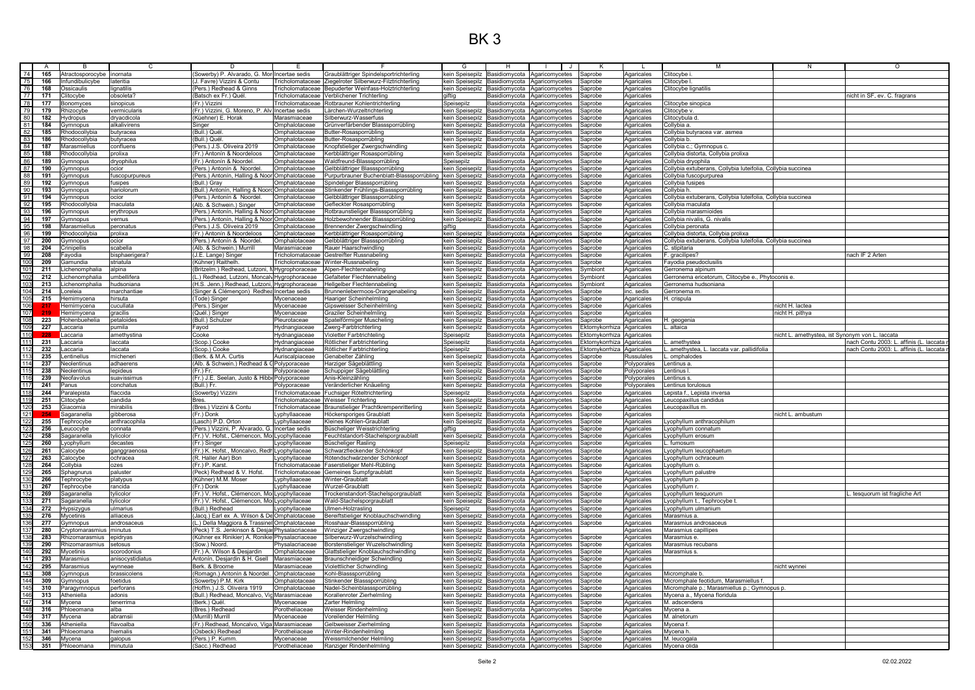## BK 3

|                                                      | A   | <b>B</b>                  | C.               | D.                                              | F.                      | F.                                                                                                                                                                                                                      | G                             | H             | I J I<br>$\mathbf{1}$                                | K                         |                          | M                                                           | N                                               | $\Omega$                                |
|------------------------------------------------------|-----|---------------------------|------------------|-------------------------------------------------|-------------------------|-------------------------------------------------------------------------------------------------------------------------------------------------------------------------------------------------------------------------|-------------------------------|---------------|------------------------------------------------------|---------------------------|--------------------------|-------------------------------------------------------------|-------------------------------------------------|-----------------------------------------|
|                                                      | 165 | Atractosporocybe inornata |                  | lowerby) P. Alvarado, G. Mor Incertae sedis     |                         | Graublättriger Spindelsportrichterling                                                                                                                                                                                  | kein Speisepilz               |               | Basidiomycota Agaricomycetes                         | Saprobe                   | Agaricales               | Clitocybe i                                                 |                                                 |                                         |
| $\frac{74}{75}$                                      | 166 | nfundibulicybe            | lateritia        | Favre) Vizzini & Contu                          | Tricholomataceae        | Ziegelroter Silberwurz-Filztrichterling                                                                                                                                                                                 | kein Speisepilz               |               | Basidiomycota Agaricomycetes                         | Saprobe                   | Agaricales               | Clitocybe I                                                 |                                                 |                                         |
| 76                                                   | 168 | <b>Ossicaulis</b>         | lignatilis       | Pers.) Redhead & Ginns                          | richolomataceae         | Bepuderter Weinfass-Holztrichterling                                                                                                                                                                                    |                               |               | kein Speisepilz Basidiomycota Agaricomycetes         | Saprobe                   | Agaricales               | Clitocybe lignatilis                                        |                                                 |                                         |
|                                                      | 171 | Clitocybe                 | obsoleta?        | Batsch ex Fr.) Quél                             |                         | Tricholomataceae IVerblichener Trichterling                                                                                                                                                                             | giftig                        | Basidiomycota | Agaricomycetes                                       | Saprobe                   | Agaricales               |                                                             |                                                 | nicht in SF, ev. C. fragrans            |
| $\frac{77}{78}$                                      | 177 | Bonomyces                 | sinopicus        | Fr.) Vizzini                                    | Tricholomataceae        | Rotbrauner Kohlentrichterling                                                                                                                                                                                           | Speisepilz                    |               | Basidiomycota Agaricomycetes                         | Saprobe                   | Agaricales               | Clitocybe sinopica                                          |                                                 |                                         |
| 79                                                   |     |                           | vermicularis     |                                                 |                         |                                                                                                                                                                                                                         | kein Speisepilz               |               |                                                      | Saprobe                   |                          |                                                             |                                                 |                                         |
|                                                      | 179 | Rhizocybe                 |                  | Fr.) Vizzini, G. Moreno, P. Alv Incertae sedis  |                         | Lärchen-Wurzeltrichterling                                                                                                                                                                                              |                               |               | Basidiomycota Agaricomycetes                         |                           | Agaricales               | Clitocybe v                                                 |                                                 |                                         |
| $\frac{80}{81}$                                      | 182 | Hydropus                  | dryacdicola      | (Küehner) E. Horak                              | Marasmiaceae            | Silberwurz-Wasserfuss                                                                                                                                                                                                   |                               |               | kein Speisepilz Basidiomycota Agaricomycetes         | Saprobe                   | Agaricales               | Clitocybula d                                               |                                                 |                                         |
|                                                      | 184 | Gymnopus                  | alkalivirens     | Sinaer                                          | Omphalotaceae           | Grünverfärbender Blasssporrübling                                                                                                                                                                                       |                               |               | kein Speisepilz Basidiomycota Agaricomycetes         | Saprobe                   | Agaricales               | Collybia a.                                                 |                                                 |                                         |
| 82                                                   | 185 | Rhodocollybia             | butvracea        | Bull.) Qué                                      | Omphalotaceae           | Butter-Rosasporrübling                                                                                                                                                                                                  |                               |               | kein Speisepilz Basidiomycota Agaricomycetes         | Saprobe                   | Agaricales               | Collybia butyracea var. asmea                               |                                                 |                                         |
| $\frac{83}{84}$                                      | 186 | Rhodocollybia             | butvracea        | (Bull.) Quél                                    | Omphalotaceae           | Butter-Rosasporrübling                                                                                                                                                                                                  |                               |               | kein Speisepilz   Basidiomycota   Agaricomycetes     | Saprobe                   | Agaricales               | Collybia b.                                                 |                                                 |                                         |
|                                                      | 187 | Marasmiellus              | confluens        | Pers.) J.S. Oliveira 2019                       | Omphalotaceae           | <nopfstieliger td="" zwergschwindling<=""><td></td><td></td><td>kein Speisepilz Basidiomycota Agaricomycetes</td><td>Saprobe</td><td>Agaricales</td><td>Collybia c.; Gymnopus c.</td><td></td><td></td></nopfstieliger> |                               |               | kein Speisepilz Basidiomycota Agaricomycetes         | Saprobe                   | Agaricales               | Collybia c.; Gymnopus c.                                    |                                                 |                                         |
|                                                      | 188 | Rhodocollybia             | prolixa          | Fr.) Antonín & Noordeloos                       | Omphalotaceae           | Kerbblättriger Rosasporrübling                                                                                                                                                                                          |                               |               | kein Speisepilz   Basidiomycota   Agaricomycetes     | Saprobe                   | Agaricales               | Collybia distorta, Collybia prolixa                         |                                                 |                                         |
|                                                      | 189 | Gymnopus                  | dryophilus       | Fr.) Antonín & Noordel.                         | Omphalotaceae           | Waldfreund-Blasssporrübling                                                                                                                                                                                             | Speisepilz                    |               | Basidiomycota Agaricomycetes                         | Saprobe                   | Agaricales               | Collybia dryophila                                          |                                                 |                                         |
| $\begin{array}{r} 85 \\ 86 \\ \hline 87 \end{array}$ | 190 |                           |                  | Pers.) Antonín & Noordel                        |                         |                                                                                                                                                                                                                         |                               |               |                                                      |                           |                          |                                                             |                                                 |                                         |
|                                                      |     | <u> 3ymnopus</u>          | ncior            |                                                 | Omphalotaceae           | Gelbblättriger Blasssporrübling                                                                                                                                                                                         | kein Speisepilz               |               | Basidiomycota Agaricomycetes                         | Saprobe                   | Agaricales               | Collybia extuberans, Collybia luteifolia, Collybia succinea |                                                 |                                         |
| 88                                                   | 191 | <b>Gymnopus</b>           | fuscopurpureus   | Pers.) Antonín, Halling & Noor Omphalotaceae    |                         | urpurbrauner Buchenblatt-Blasssporrübling                                                                                                                                                                               |                               |               | kein Speisepilz Basidiomycota Agaricomycetes         | Saprobe                   | Agaricales               | Collybia fuscopurpurea                                      |                                                 |                                         |
| $\frac{89}{90}$                                      | 192 | <b>Gymnopus</b>           | fusipes          | Bull.) Gray                                     | Omphalotaceae           | Spindeliger Blasssporrübling                                                                                                                                                                                            | kein Speisepilz Basidiomycota |               | Agaricomycetes                                       | Saprobe                   | Agaricales               | Collybia fusipes                                            |                                                 |                                         |
|                                                      | 193 | Gymnopus                  | hariolorum       | Bull.) Antonín, Halling & Noord Omphalotaceae   |                         | Stinkender Frühlings-Blasssporrübling                                                                                                                                                                                   |                               |               | kein Speisepilz Basidiomycota Agaricomycetes         | Saprobe                   | Agaricales               | Collybia h.                                                 |                                                 |                                         |
| 91                                                   | 194 | Gymnopus                  | ocior            | Pers.) Antonín & Noordel.                       | Omphalotaceae           | Gelbblättriger Blasssporrübling                                                                                                                                                                                         |                               |               | kein Speisepilz Basidiomycota Agaricomycetes         | Saprobe                   | Agaricales               | Collybia extuberans, Collybia luteifolia, Collybia succinea |                                                 |                                         |
|                                                      | 195 | Rhodocollybia             | maculata         | Alb. & Schwein.) Singer                         | Omphalotaceae           | Gefleckter Rosasporrübling                                                                                                                                                                                              |                               |               | kein Speisepilz   Basidiomycota   Agaricomycetes     | Saprobe                   | Agaricales               | Collybia maculata                                           |                                                 |                                         |
| $\frac{92}{93}$                                      | 196 | 3vmnopus                  | ervthropus       | Pers.) Antonín, Halling & Noor Omphalotaceae    |                         | Rotbraunstieliger Blasssporrübling                                                                                                                                                                                      |                               |               | kein Speisepilz Basidiomycota Agaricomycetes         | Saprobe                   | Agaricales               | Collybia marasmioides                                       |                                                 |                                         |
|                                                      | 197 | <b>Symnopus</b>           | vernus           | Pers.) Antonín, Halling & Noor Omphalotaceae    |                         | Holzbewohnender Blasssporrübling                                                                                                                                                                                        |                               |               | kein Speisepilz Basidiomycota Agaricomycetes         | Saprobe                   | Agaricales               | Collybia nivalis, G. nivalis                                |                                                 |                                         |
| $\frac{94}{95}$                                      |     |                           |                  |                                                 |                         |                                                                                                                                                                                                                         |                               |               |                                                      |                           |                          |                                                             |                                                 |                                         |
|                                                      | 198 | Marasmiellus              | peronatus        | Pers.) J.S. Oliveira 2019                       | Omphalotaceae           | Brennender Zwergschwindling                                                                                                                                                                                             | giftig                        |               | Basidiomycota Agaricomycetes                         | Saprobe                   | Agaricales               | Collybia peronata                                           |                                                 |                                         |
|                                                      | 199 | Rhodocollybia             | prolixa          | Fr.) Antonín & Noordeloos                       | Omphalotaceae           | Kerbblättriger Rosasporrübling                                                                                                                                                                                          | kein Speisepilz               |               | Basidiomycota Agaricomycetes                         | Saprobe                   | Agaricales               | Collybia distorta, Collybia prolixa                         |                                                 |                                         |
| $\frac{97}{98}$                                      | 200 | Gymnopus                  | ocior            | Pers.) Antonín & Noordel.                       | Omphalotaceae           | Gelbblättriger Blasssporrübling                                                                                                                                                                                         |                               |               | kein Speisepilz Basidiomycota Agaricomycetes         | Saprobe                   | Agaricales               | Collybia extuberans, Collybia luteifolia, Collybia succinea |                                                 |                                         |
|                                                      | 204 | Crinipellis               | scabella         | (Alb. & Schwein.) Murrill                       | Marasmiaceae            | Rauer Haarschwindling                                                                                                                                                                                                   |                               |               | kein Speisepilz Basidiomycota Agaricomycetes         | Saprobe                   | Agaricales               | C. stipitaria                                               |                                                 |                                         |
|                                                      | 208 | ayodia                    | bisphaerigera?   | J.E. Lange) Singer                              | Tricholomataceae        | Gestreifter Russnabeling                                                                                                                                                                                                |                               |               | kein Speisepilz Basidiomycota Agaricomycetes         | Saprobe                   | Agaricales               | F. gracilipes?                                              |                                                 | ach IF 2 Arten                          |
|                                                      | 209 | amundia                   | striatula        | Kühner) Raithelh.                               | Tricholomataceae        | Winter-Russnabeling                                                                                                                                                                                                     |                               |               | kein Speisepilz Basidiomycota Agaricomycetes         | Saprobe                   | Agaricales               | Fayodia pseudoclusilis                                      |                                                 |                                         |
| 100<br>101                                           | 211 | .ichenomphalia            | alpina           | Britzelm.) Redhead, Lutzoni,                    | N Hygrophoraceae        | Alpen-Flechtennabelino                                                                                                                                                                                                  | kein Speisepilz Basidiomycota |               | Agaricomycetes                                       | Symbiont                  | Agaricales               | Gerronema alpinum                                           |                                                 |                                         |
|                                                      | 212 |                           | umbellifera      | ) Redhead, Lutzoni, Moncalv Hygrophoraceae      |                         | Gefalteter Flechtennabeling                                                                                                                                                                                             |                               |               |                                                      |                           |                          | Gerronema ericetorum, Clitocybe e., Phytoconis e.           |                                                 |                                         |
|                                                      |     | Lichenomphalia            |                  |                                                 |                         |                                                                                                                                                                                                                         |                               |               | kein Speisepilz Basidiomycota Agaricomycetes         | Symbiont                  | Agaricales               |                                                             |                                                 |                                         |
| 103<br>104<br>105                                    | 213 | Lichenomphalia            | hudsoniana       | (H.S. Jenn.) Redhead, Lutzoni, Hygrophoraceae   |                         | Hellgelber Flechtennabeling                                                                                                                                                                                             |                               |               | kein Speisepilz Basidiomycota Agaricomycetes         | Symbiont                  | Agaricales               | Gerronema hudsoniana                                        |                                                 |                                         |
|                                                      | 214 | Loreleia                  | marchantiae      | Singer & Clémençon) Redhea Incertae sedis       |                         | Brunnenlebermoos-Orangenabeling                                                                                                                                                                                         |                               |               | kein Speisepilz Basidiomycota Agaricomycetes         | Saprobe                   | inc. sedis               | Gerronema m                                                 |                                                 |                                         |
|                                                      | 215 | Hemimvcena                | hirsuta          | Tode) Singer                                    | Mycenaceae              | Haariger Scheinhelmling                                                                                                                                                                                                 |                               |               | kein Speisepilz Basidiomycota Agaricomycetes         | Saprobe                   | Agaricales               | H. crispula                                                 |                                                 |                                         |
|                                                      |     | Hemimycena                | cucullata        | Pers.) Singer                                   | Mycenaceae              | <b>Gipsweisser Scheinhelmling</b>                                                                                                                                                                                       |                               |               | kein Speisepilz Basidiomycota Agaricomycetes         | Saprobe                   | Agaricales               |                                                             | icht H. lactea                                  |                                         |
| 106<br>107<br>108                                    |     | Hemimycena                | gracilis         | (Quél.) Singer                                  | Mycenaceae              | Graziler Scheinhelmling                                                                                                                                                                                                 | kein Speisepilz               | Basidiomycota | Agaricomycetes                                       | Saprobe                   | Agaricales               |                                                             | nicht H. pithya                                 |                                         |
|                                                      | 223 | Hohenbuehelia             | petaloides       | (Bull.) Schulzer                                | Pleurotaceae            | Spatelförmiger Muscheling                                                                                                                                                                                               |                               |               | kein Speisepilz Basidiomycota Agaricomycetes         | Saprobe                   | Agaricales               | H. geogenia                                                 |                                                 |                                         |
| $\frac{109}{110}$                                    | 227 | Laccaria                  | pumila           | Fayod                                           | Hydnangiaceae           | Zwerg-Farbtrichterling                                                                                                                                                                                                  | kein Speisepilz               |               | Basidiomycota Agaricomycetes                         | Ektomykorrhiza            | Agaricales               | altaica                                                     |                                                 |                                         |
|                                                      | 228 | Laccaria                  | amethystina      | Cooke                                           | Hydnangiaceae           | Violetter Farbtrichteling                                                                                                                                                                                               | Speisepilz                    |               | Basidiomycota Agaricomycetes                         | Ektomykorrhiza Agaricales |                          |                                                             | nicht L. amethystea, ist Synonym von L. laccata |                                         |
| 111                                                  | 231 | Laccaria                  | laccata          |                                                 |                         | Rötlicher Farbtrichterling                                                                                                                                                                                              |                               |               |                                                      | Ektomykorrhiza            |                          | amethystea                                                  |                                                 | iach Contu 2003: L. affinis (L. Iaccata |
|                                                      |     |                           |                  | Scop.) Cooke                                    | Hydnangiaceae           |                                                                                                                                                                                                                         | Speisepilz                    |               | Basidiomycota Agaricomycetes                         |                           | Agaricales               |                                                             |                                                 |                                         |
| 112                                                  | 232 | accaria.                  | laccata          | Scop.) Cooke                                    | Hydnangiaceae           | Rötlicher Farbtrichterling                                                                                                                                                                                              | Speisepilz                    |               | Basidiomycota Agaricomycetes                         | Ektomykorrhiza            | Agaricales               | amethystea, L. laccata var. pallidifolia                    |                                                 | nach Contu 2003: L. affinis (L. laccata |
| 113                                                  | 235 | entinellus                | micheneri        | Berk. & M.A. Curtis                             | Auriscalpiaceae         | Genabelter Zähling                                                                                                                                                                                                      | kein Speisepilz               |               | Basidiomycota Agaricomycetes                         | Saprobe                   | Russulales               | . omphalode                                                 |                                                 |                                         |
| 114                                                  | 237 | Neolentinus               | adhaerens        | Alb. & Schwein.) Redhead & C Polyporaceae       |                         | Harziger Sägeblättling                                                                                                                                                                                                  |                               |               | kein Speisepilz   Basidiomycota   Agaricomycetes     | Saprobe                   | Polyporales              | Lentinus a                                                  |                                                 |                                         |
| 115                                                  | 238 | Neolentinus               | lepideus         | (Fr.) Fr                                        | Polyporaceae            | Schuppiger Sägeblättling                                                                                                                                                                                                |                               |               | kein Speisepilz Basidiomycota Agaricomycetes         | Saprobe                   | <sup>2</sup> olyporales  | Lentinus I                                                  |                                                 |                                         |
| 116                                                  | 239 | Neofavolus                | suavissimus      | (Fr.) J.E. Seelan, Justo & Hibbi Polyporaceae   |                         | Anis-Kleinzähling                                                                                                                                                                                                       |                               |               | kein Speisepilz Basidiomycota Agaricomycetes         | Saprobe                   | Polyporales              | Lentinus s                                                  |                                                 |                                         |
| 117                                                  | 241 | Panus                     | conchatus        | Bull.) Fr.                                      | Polyporaceae            | eränderlicher Knäueling                                                                                                                                                                                                 | kein Speisepilz               |               | Basidiomycota Agaricomycetes                         | Saprobe                   | Polyporales              | Lentinus torulosus                                          |                                                 |                                         |
|                                                      | 244 | Paralepista               | flaccida         | Sowerby) Vizzini                                | Tricholomataceae        | Fuchsiger Röteltrichterling                                                                                                                                                                                             | Speisepilz                    |               | Basidiomycota Agaricomycetes                         | Saprobe                   |                          | Lepista f., Lepista inversa                                 |                                                 |                                         |
| 118                                                  |     |                           |                  |                                                 |                         |                                                                                                                                                                                                                         |                               |               |                                                      |                           | Agaricales               |                                                             |                                                 |                                         |
|                                                      | 251 | Clitocybe                 | candida          | Bres.                                           | Tricholomataceae        | Weisser Trichterling                                                                                                                                                                                                    | kein Speisepilz               | Basidiomycota | Agaricomycetes                                       | Saprobe                   | Agaricales               | Leucopaxillus candidus                                      |                                                 |                                         |
|                                                      | 253 | Giacomia                  | mirabilis        | (Bres.) Vizzini & Contu                         |                         | Tricholomataceae Braunstieliger Prachtkrempenritterling                                                                                                                                                                 |                               |               | kein Speisepilz Basidiomycota Agaricomycetes         | Saprobe                   | Agaricales               | Leucopaxillus m                                             |                                                 |                                         |
|                                                      |     | Sagaranella               | gibberosa        | (Fr.) Donk                                      | Lyphyllaaceae           | Höckersporiges Graublatt                                                                                                                                                                                                |                               |               | kein Speisepilz Basidiomycota Agaricomycetes         | Saprobe                   | Agaricales               |                                                             | nicht L. ambustum                               |                                         |
|                                                      | 255 | Tephrocybe                | anthracophila    | Lasch) P.D. Orton                               | Lyphyllaaceae           | Kleines Kohlen-Graublatt                                                                                                                                                                                                |                               |               | kein Speisepilz Basidiomycota Agaricomycetes         | Saprobe                   | Agaricales               | Lyophyllum anthracophilum                                   |                                                 |                                         |
|                                                      | 256 | Leucocybe                 | connata          | Pers.) Vizzini. P. Alvarado. G. Ilncertae sedis |                         | Büscheliger Weisstrichterling                                                                                                                                                                                           | giftig                        |               | Basidiomycota Agaricomycetes                         | Saprobe                   | Agaricales               | Lyophyllum connatum                                         |                                                 |                                         |
|                                                      | 258 | Sagaranella               | tylicolor        | Fr.) V. Hofst., Clémencon, Mo Lyophyllaceae     |                         | euchtstandort-Stachelsporgraublatt                                                                                                                                                                                      | kein Speisepilz               |               | Basidiomycota Agaricomycetes                         | Saprobe                   | Agaricales               | Lvophvllum erosum                                           |                                                 |                                         |
|                                                      | 260 | .yophyllum                | decastes         | (Fr.) Singer                                    | Lyophyllaceae           | Büscheliger Rasling                                                                                                                                                                                                     | Speisepilz                    |               | Basidiomycota Agaricomycetes                         | Saprobe                   | Agaricales               | L. fumosum                                                  |                                                 |                                         |
|                                                      | 261 | Calocybe                  | ganggraenosa     | Fr.) K. Hofst., Moncalvo, Redh Lyophyllaceae    |                         | Schwarzfleckender Schönkopf                                                                                                                                                                                             |                               |               | kein Speisepilz Basidiomycota Agaricomycetes         | Saprobe                   | Agaricales               | Lyophyllum leucophaetum                                     |                                                 |                                         |
|                                                      |     |                           |                  |                                                 |                         |                                                                                                                                                                                                                         |                               |               |                                                      |                           |                          |                                                             |                                                 |                                         |
|                                                      | 263 | Calocybe                  | ochracea         | (R. Haller Aar) Bor                             | Lvophvllaceae           | Rötendschwärzender Schönkopf                                                                                                                                                                                            |                               |               | kein Speisepilz Basidiomycota Agaricomycetes         | Saprobe                   | Agaricales               | Lyophyllum ochraceum                                        |                                                 |                                         |
|                                                      | 264 | Collybia                  | ozes             | (Fr.) P. Karst.                                 | Tricholomataceae        | Faserstieliger Mehl-Rübling                                                                                                                                                                                             |                               |               | kein Speisepilz   Basidiomycota   Agaricomycetes     | Saprobe                   | Agaricales               | Lyophyllum o.                                               |                                                 |                                         |
|                                                      | 265 | Sphagnurus                | paluster         | Peck) Redhead & V. Hofst.                       | <b>Tricholomataceae</b> | <b>Gemeines Sumpfgraublatt</b>                                                                                                                                                                                          |                               |               | kein Speisepilz Basidiomycota Agaricomycetes         | Saprobe                   | Agaricales               | Lyophyllum palustre                                         |                                                 |                                         |
|                                                      | 266 | Tephrocybe                | platypus         | Kühner) M.M. Moser                              | _yphyllaaceae           | Winter-Graublatt                                                                                                                                                                                                        |                               |               | kein Speisepilz Basidiomycota Agaricomycetes         | Saprobe                   | Agaricales               | Lyophyllum p                                                |                                                 |                                         |
|                                                      | 267 | Γephrocγbe                | rancida          | 'Fr.) Donk                                      | Lyphyllaaceae           | Nurzel-Graublatt                                                                                                                                                                                                        |                               |               | kein Speisepilz Basidiomycota Agaricomycetes         | Saprobe                   | Agaricales               | Lyophyllum r                                                |                                                 |                                         |
|                                                      | 269 | Sagaranella               | tylicolor        | Fr.) V. Hofst., Clémencon, Mo Lyophyllaceae     |                         | rockenstandort-Stachelsporgraublatt                                                                                                                                                                                     | kein Speisepilz               | Basidiomycota | Agaricomycetes                                       | Saprobe                   | Agaricales               | Lyophyllum tesquorum                                        |                                                 | tesquorum ist fragliche Art             |
|                                                      | 271 | Sagaranella               | tvlicolor        | (Fr.) V. Hofst., Clémencon, Mo Lyophyllaceae    |                         | Wald-Stachelsporgraublatt                                                                                                                                                                                               |                               |               | kein Speisepilz Basidiomycota Agaricomycetes         | Saprobe                   | Agaricales               | Lyophyllum t., Tephrocybe t                                 |                                                 |                                         |
|                                                      | 272 | Hypsizygus                | ulmarius         | (Bull.) Redhead                                 | Lyophyllaceae           | Jimen-Holzrasling                                                                                                                                                                                                       | Speisepilz                    |               | Basidiomycota Agaricomycetes                         | Saprobe                   | Agaricales               | Lyophyllum ulmariium                                        |                                                 |                                         |
|                                                      | 276 | Mycetinis                 | alliaceus        | Jacq.) Earl ex A. Wilson & De Omphalotaceae     |                         | Bereiftstieliger Knoblauchschwindling                                                                                                                                                                                   | kein Speisepilz               |               | Basidiomycota Agaricomycetes                         |                           |                          | Marasmius a                                                 |                                                 |                                         |
|                                                      | 277 |                           | androsaceus      | ) Della Maggiora & Trassinel Omphalotaceae      |                         | Rosshaar-Blasssporrüblinα                                                                                                                                                                                               |                               |               | kein Speisepilz Basidiomycota Agaricomycetes         | Saprobe                   | Agaricales<br>Agaricales | Marasmius androsaceus                                       |                                                 |                                         |
|                                                      |     | Gymnopus                  |                  |                                                 |                         |                                                                                                                                                                                                                         |                               |               |                                                      | Saprobe                   |                          |                                                             |                                                 |                                         |
|                                                      | 280 | cryptomarasmius           | l minutus        | Peck) T.S. Jenkinson & Desjal Physalacriaceae   |                         | Ninziger Zwergschwindling                                                                                                                                                                                               |                               |               | kein Speisepilz Basidiomycota Agaricomycetes         |                           | Agaricales               | Marasmius capillipes                                        |                                                 |                                         |
|                                                      | 283 | IRhizomarasmius           | epidryas         | (Kühner ex Rinikier) A. Ronikie Physalacriaceae |                         | Silberwurz-Wurzelschwindling                                                                                                                                                                                            |                               |               | kein Speisepilz Basidiomycota Agaricomycetes         | Saprobe                   | Agaricales               | Marasmius e                                                 |                                                 |                                         |
|                                                      | 290 | Rhizomarasmius            | setosus          | Sow.) Noord.                                    | Physalacriaceae         | Borstenstieliger Wuzelschwindling                                                                                                                                                                                       |                               |               | kein Speisepilz Basidiomycota Agaricomycetes         | Saprobe                   | Agaricales               | Marasmius recubans                                          |                                                 |                                         |
|                                                      | 292 | Mycetinis                 | scorodonius      | Fr.) A. Wilson & Desjardin                      | Omphalotaceae           | Glattstieliger Knoblauchschwindling                                                                                                                                                                                     |                               |               | kein Speisepilz Basidiomycota Agaricomycetes         | Saprobe                   | Agaricales               | Marasmius s.                                                |                                                 |                                         |
| 141                                                  | 293 | Marasmius                 | anisocystidiatus | Antonín. Desiardin & H. Gsell Marasmiaceae      |                         | Braunschneidiger Schwindling                                                                                                                                                                                            |                               |               | kein Speisepilz Basidiomycota Agaricomycetes         | Saprobe                   | Agaricales               |                                                             |                                                 |                                         |
| 142                                                  | 295 | Marasmius                 | wynneae          | Berk, & Broome                                  | Marasmiaceae            | /iolettlicher Schwindling                                                                                                                                                                                               |                               |               | kein Speisepilz Basidiomycota Agaricomycetes         | Saprobe                   | Agaricales               |                                                             | icht wynnei                                     |                                         |
|                                                      | 308 | <b>Gymnopus</b>           | brassicolens     | Romagn.) Antonín & Noordel. Omphalotaceae       |                         | Kohl-Blasssporrübling                                                                                                                                                                                                   |                               |               | kein Speisepilz   Basidiomycota   Agaricomycetes     | Saprobe                   | Agaricales               | Micromphale b                                               |                                                 |                                         |
|                                                      |     |                           |                  |                                                 |                         |                                                                                                                                                                                                                         |                               |               |                                                      |                           |                          |                                                             |                                                 |                                         |
|                                                      | 309 | Gymnopus                  | foetidus         | Sowerby) P.M. Kirk                              | Omphalotaceae           | Stinkender Blasssporrübling                                                                                                                                                                                             |                               |               | kein Speisepilz Basidiomycota Agaricomycetes         | Saprobe                   | Agaricales               | Micromphale feotidum, Marasmiellus f.                       |                                                 |                                         |
|                                                      | 310 | Paragymnopus              | perforans        | Hoffm.) J.S. Oliveira 1919                      | Omphalotaceae           | Nadel-Scheinblasssporrübling                                                                                                                                                                                            |                               |               | kein Speisepilz Basidiomycota Agaricomycetes         | Saprobe                   | Agaricales               | Micromphale p.; Marasmiellus p.; Gymnopus p.                |                                                 |                                         |
|                                                      | 313 | Atheniella                | adonis           | (Bull.) Redhead, Moncalvo, Vig Marasmiaceae     |                         | Korallenroter Zierhelmling                                                                                                                                                                                              |                               |               | kein Speisepilz Basidiomycota Agaricomycetes         | Saprobe                   | Agaricales               | Mycena a., Mycena floridula                                 |                                                 |                                         |
| 143<br>144<br>145<br>146<br>147<br>148               | 314 | Mycena                    | tenerrima        | Berk.) Quél                                     | Mycenaceae              | Zarter Helmling                                                                                                                                                                                                         |                               |               | kein Speisepilz Basidiomycota Agaricomycetes         | Saprobe                   | Agaricales               | M. adscendens                                               |                                                 |                                         |
|                                                      | 316 | Phloeomana                | alba             | Bres.) Redhead                                  | Porotheliaceae          | <b>Neisser Rindenhelmling</b>                                                                                                                                                                                           |                               |               | kein Speisepilz Basidiomycota Agaricomycetes         | Saprobe                   | Agaricales               | Mycena a.                                                   |                                                 |                                         |
|                                                      | 317 | Mycena                    | abramsii         | Murrill) Murrill                                | Mycenaceae              | /oreilender Helmlinc                                                                                                                                                                                                    |                               |               | kein Speisepilz   Basidiomycota   Agaricomycetes     | Saprobe                   | Agaricales               | M. alnetorum                                                |                                                 |                                         |
| $\frac{119}{150}$                                    | 336 | Atheniella                | flavoalba        | Fr.) Redhead, Moncalvo, Viga Marasmiaceae       |                         | Gelbweisser Zierhelmlind                                                                                                                                                                                                |                               |               |                                                      |                           |                          |                                                             |                                                 |                                         |
|                                                      | 341 | Phloeomana                | hiemalis         | Osbeck) Redhead                                 | Porotheliaceae          | Winter-Rindenhelmling                                                                                                                                                                                                   |                               |               | kein Speisepilz   Basidiomycota   Agaricomycetes     | Saprobe<br>Saprobe        | Agaricales<br>Agaricales | Mycena f.<br>Mycena h                                       |                                                 |                                         |
|                                                      |     |                           |                  |                                                 |                         |                                                                                                                                                                                                                         |                               |               | kein Speisepilz   Basidiomycota   Agaricomycetes     |                           |                          |                                                             |                                                 |                                         |
|                                                      |     | 346 Mycena                | galopus          | Pers.) P. Kumm                                  | Mycenaceae              | Weissmilchender Helmling                                                                                                                                                                                                |                               |               | kein Speisepilz Basidiomycota Agaricomycetes         | Saprobe                   | Agaricales               | M. leucogala                                                |                                                 |                                         |
|                                                      |     | 351 Phloeomana            | minutula         | (Sacc.) Redhead                                 | Porotheliaceae          | Ranziger Rindenhelmling                                                                                                                                                                                                 |                               |               | kein Speisepilz Basidiomycota Agaricomycetes Saprobe |                           | Agaricales               | Mycena olida                                                |                                                 |                                         |
| $\frac{152}{153}$                                    |     |                           |                  |                                                 |                         |                                                                                                                                                                                                                         |                               |               |                                                      |                           |                          |                                                             |                                                 |                                         |